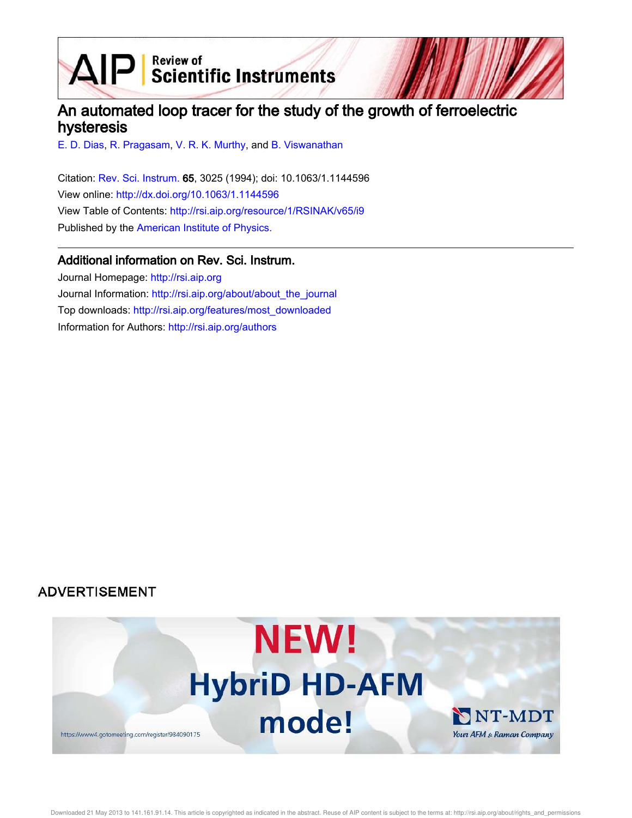$\mathbf{AIP}$  Scientific Instruments

# An automated loop tracer for the study of the growth of ferroelectric hysteresis

E. D. Dias, R. Pragasam, V. R. K. Murthy, and B. Viswanathan

Citation: Rev. Sci. Instrum. 65, 3025 (1994); doi: 10.1063/1.1144596 View online: http://dx.doi.org/10.1063/1.1144596 View Table of Contents: http://rsi.aip.org/resource/1/RSINAK/v65/i9 Published by the American Institute of Physics.

## Additional information on Rev. Sci. Instrum.

Journal Homepage: http://rsi.aip.org Journal Information: http://rsi.aip.org/about/about\_the\_journal Top downloads: http://rsi.aip.org/features/most\_downloaded Information for Authors: http://rsi.aip.org/authors

## **ADVERTISEMENT**

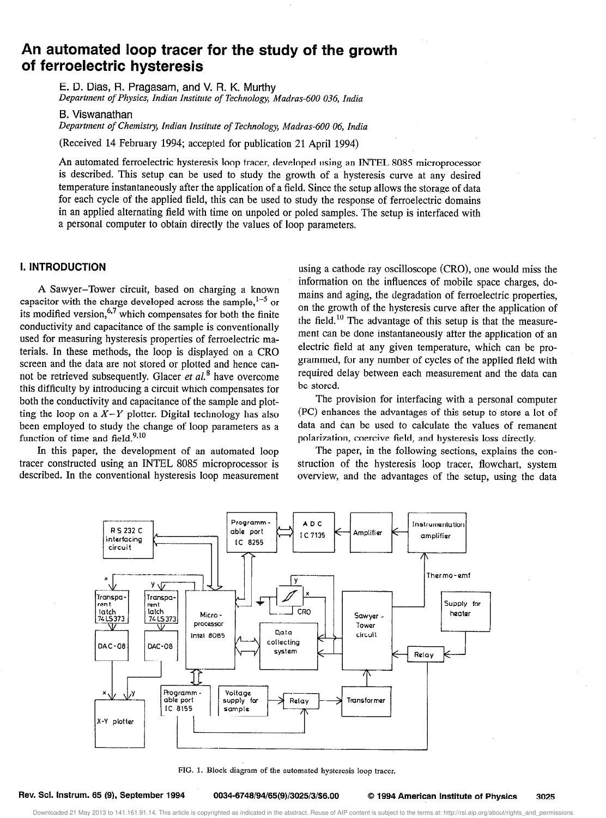## An automated loop tracer for the study of the growth of ferroelectric hysteresis

E. D. Dias, R. Pragasam, and V. R. K. Murthy Department of Physics, Indian Institute of Technology, Madras-600 036, India

B. Viswanathan

Department of Chemistry, Indian institute of Technology, Madras-600 06, India

(Received 14 February 1994; accepted for publication 21 April 1994)

An automated ferroelectric hysteresis loop tracer, developed using an INTEL 8085 microprocessor is described. This setup can be used to study the growth of a hysteresis curve at any desired temperature instantaneously after the application of a field. Since the setup allows the storage of data for each cycle of the applied field, this can be used to study the response of ferroelectric domains in an applied alternating field with time on unpoled or poled samples. The setup is interfaced with a personal computer to obtain directly the values of loop parameters.

#### 1. INTRODUCTION

A Sawyer-Tower circuit, based on charging a known capacitor with the charge developed across the sample,  $1-5$  or its modified version,  $67$  which compensates for both the finite conductivity and capacitance of the sample is conventionally used for measuring hysteresis properties of ferroelectric materials. In these methods, the loop is displayed on a CR0 screen and the data are not stored or plotted and hence cannot be retrieved subsequently. Glacer et  $al$ <sup>8</sup> have overcome this difficulty by introducing a circuit which compensates for both the conductivity and capacitance of the sample and plotting the loop on a  $X-Y$  plotter. Digital technology has also been employed to study the change of loop parameters as a function of time and  $\text{field.}^{9,10}$ 

In this paper, the development of an automated loop tracer constructed using an INTEL 8085 microprocessor is described. In the conventional hysteresis loop measurement

using a cathode ray oscilloscope (CRO), one would miss the information on the influences of mobile space charges, domains and aging, the degradation of ferroelectric properties, on the growth of the hysteresis curve after the application of the field.<sup>10</sup> The advantage of this setup is that the measurement can be done instantaneously after the application of an electric field at any given temperature, which can be programmed, for any number of cycles of the applied field with required delay between each measurement and the data can be stored.

The provision for interfacing with a personal computer (PC) enhances the advantages of this setup to store a lot of data and can be used to calculate the values of remanent polarization, coercive field, and hysteresis loss directly.

The paper, in the following sections, explains the construction of the hysteresis loop tracer, flowchart, system overview, and the advantages of the setup, using the data



FIG. 1. Block diagram of the automated hysteresis loop tracer.

Downloaded 21 May 2013 to 141.161.91.14. This article is copyrighted as indicated in the abstract. Reuse of AIP content is subject to the terms at: http://rsi.aip.org/about/rights\_and\_permissions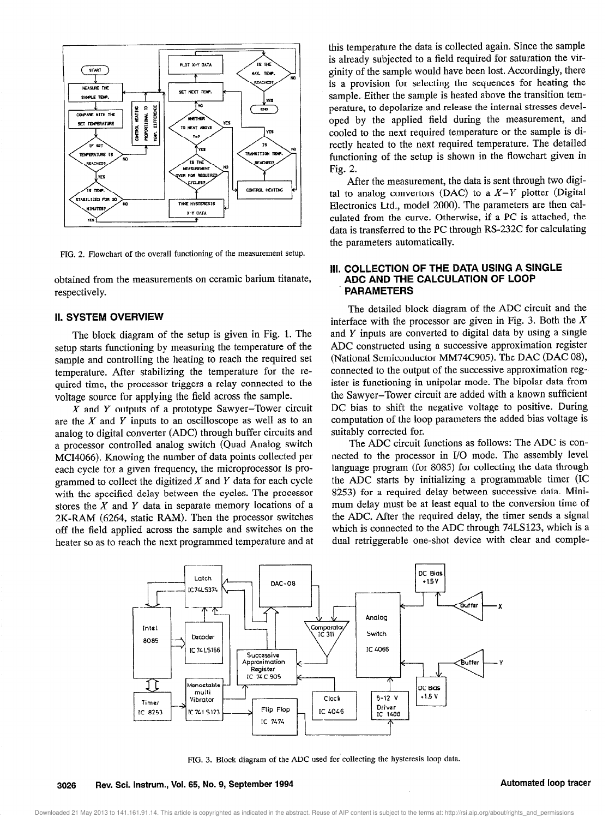

FIG. 2. Flowchart of the overall functioning of the measurement setup.

obtained from the measurements on ceramic barium titanate, respectively.

#### II. SYSTEM OVERVIEW

The block diagram of the setup is given in Fig. 1. The setup starts functioning by measuring the temperature of the sample and controlling the heating to reach the required set temperature. After stabilizing the temperature for the required time, the processor triggers a relay connected to the voltage source for applying the field across the sample.

 $X$  and  $Y$  outputs of a prototype Sawyer-Tower circuit are the  $X$  and  $Y$  inputs to an oscilloscope as well as to an analog to digital converter (ADC) through buffer circuits and a processor controlled analog switch (Quad Analog switch MC14066). Knowing the number of data points collected per each cycle for a given frequency, the microprocessor is programmed to collect the digitized  $X$  and  $Y$  data for each cycle with the specified delay between the cycles. The processor stores the  $X$  and  $Y$  data in separate memory locations of a 2K-RAM (6264, static RAM). Then the processor switches off the field applied across the sample and switches on the heater so as to reach the next programmed temperature and at this temperature the data is collected again. Since the sample is already subjected to a field required for saturation the virginity of the sample would have been lost. Accordingly, there is a provision for selecting the sequences for heating the sample, Either the sample is heated above the transition temperature, to depolarize and release the internal stresses developed by the applied field during the measurement, and cooled to the next required temperature or the sample is directly heated to the next required temperature. The detailed functioning of the setup is shown in the flowchart given in Fig. 2.

After the measurement, the data is sent through two digital to analog convertors (DAC) to a  $X-Y$  plotter (Digital Electronics Ltd., model 2000). The parameters are then calculated from the curve. Otherwise, if a PC is attached, the data is transferred to the PC through RS-232C for calculating the parameters automatically.

### Ill. COLLECTION OF THE DATA USING A SINGLE ADC AND THE CALCULATION OF LOOP PARAMETERS

The detailed block diagram of the ADC circuit and the interface with the processor are given in Fig. 3. Both the  $X$ and Y inputs are converted to digital data by using a single ADC constructed using a successive approximation register (National Semiconductor MM74C905). The DAC (DAC 08), connected to the output of the successive approximation register is functioning in unipolar mode. The bipolar data from the Sawyer-Tower circuit are added with a known sufficient DC bias to shift the negative voltage to positive. During computation of the loop parameters the added bias voltage is suitably corrected for.

The ADC circuit functions as follows: The ADC is connetted to the processor in I/O mode. The assembly level. language program (for 8085) for collecting the data through the ADC starts by initializing a programmable timer (IC 8253) for a required delay between successive data. Minimum delay must be at least equal to the conversion time of the ADC. After the required delay, the timer sends a signal which is connected to the ADC through 74LS123, which is a dual retriggerable one-shot device with clear and comple-



FIG. 3. Block diagram of the ADC used for collecting the hysteresis loop data.

Downloaded 21 May 2013 to 141.161.91.14. This article is copyrighted as indicated in the abstract. Reuse of AIP content is subject to the terms at: http://rsi.aip.org/about/rights\_and\_permissions